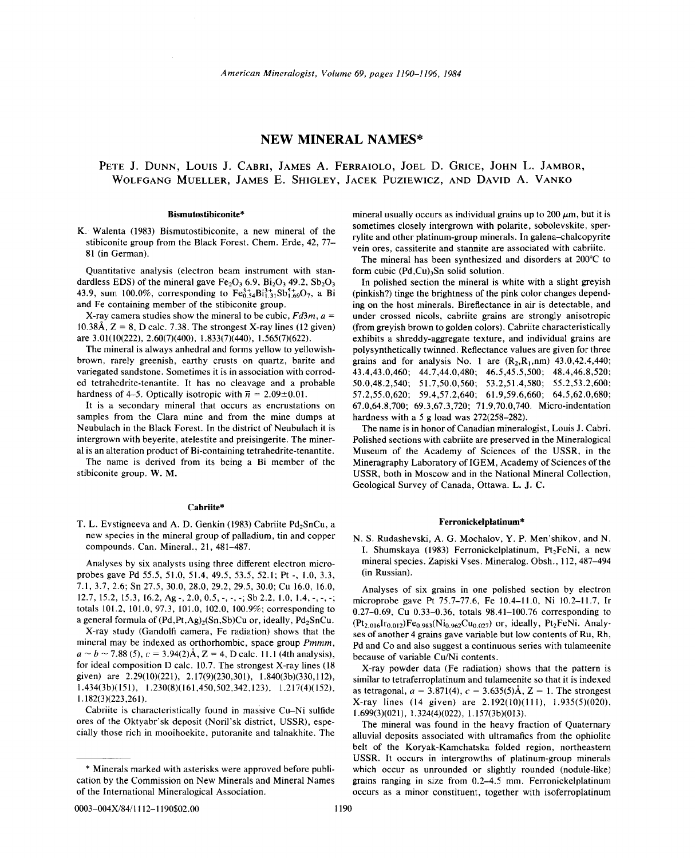# **NEW MINERAL NAMES\***

# PETE J. DUNN, LoUIS J. CABRI, JAMES A. FERRAIOLO, JOEL D. GRICE, JOHN L. JAMBOR, WOLFGANG MUELLER, JAMES E. SHIGLEY, JACEK PUZIEWICZ, AND DAVID A. YANKO

#### Bismutostibiconite\*

K. Walenta (1983) Bismutostibiconite, a new mineral of the stibiconite group from the Black Forest. Chem. Erde, 42, 77-81 (in German).

Quantitative analysis (electron beam instrument with standardless EDS) of the mineral gave  $Fe<sub>2</sub>O<sub>3</sub> 6.9$ ,  $Bi<sub>2</sub>O<sub>3</sub> 49.2$ ,  $Sb<sub>2</sub>O<sub>3</sub>$ 43.9, sum 100.0%, corresponding to  $Fe^{3+}_{0.54}Bi^{3+}_{1.31}Sb^{5+}_{1.69}O_7$ , a Bi and Fe containing member of the stibiconite group.

X-ray camera studies show the mineral to be cubic,  $Fd3m$ ,  $a =$  $10.38\text{\AA}$ ,  $Z = 8$ , D calc. 7.38. The strongest X-ray lines (12 given) are 3.01(10(222), 2.60(7)(400), 1.833(7)(440), 1.565(7)(622).

The mineral is always anhedral and forms yellow to yellowishbrown, rarely greenish, earthy crusts on quartz, barite and variegated sandstone. Sometimes it is in association with corroded tetrahedrite-tenantite. It has no cleavage and a probable hardness of 4-5. Optically isotropic with  $\bar{n} = 2.09 \pm 0.01$ .

It is a secondary mineral that occurs as encrustations on samples from the Clara mine and from the mine dumps at Neubulach in the Black Forest. In the district of Neubulach it is intergrown with beyerite, atelestite and preisingerite. The mineral is an alteration product of Bi-containing tetrahedrite-tenantite.

The name is derived from its being a Bi member of the stibiconite group. W. M.

### Cabriite\*

T. L. Evstigneeva and A. D. Genkin (1983) Cabriite Pd<sub>2</sub>SnCu, a new species in the mineral group of palladium, tin and copper compounds. Can. Mineral., 21, 481-487.

Analyses by six analysts using three different electron microprobes gave Pd 55.5, 51.0, 51.4, 49.5, 53.5, 52.1; Pt -, 1.0, 3.3, 7.1,3.7,2.6; Sn 27.5, 30.0, 28.0, 29.2, 29.5, 30.0; Cu 16.0, 16.0, 12.7, 15.2, 15.3, 16.2, Ag -, 2.0, 0.5, -, -, -; Sb 2.2, 1.0, 1.4, -, -, -; totals 101.2, 101.0,97.3, 101.0, 102.0, 100.9%; corresponding to a general formula of  $(Pd, Pt, Ag)_{2}(Sn, Sb)Cu$  or, ideally,  $Pd_{2}SnCu$ .

X-ray study (Gandolfi camera, Fe radiation) shows that the mineral may be indexed as orthorhombic, space group *Pmmm,*  $a \sim b \sim 7.88(5)$ ,  $c = 3.94(2)$ Å,  $Z = 4$ , D calc. 11.1 (4th analysis), for ideal composition D calc. 10.7. The strongest X-ray lines (18 given) are 2.29(10)(221), 2.17(9)(230,301), 1.840(3b)(330,1I2), 1.434(3b)(151), 1.230(8)(161,450,502,342,123), 1.217(4)(152), 1.182(3)(223,261).

Cabriite is characteristically found in massive Cu-Ni sulfide ores of the Oktyabr'sk deposit (Noril'sk district, USSR), especially those rich in mooihoekite, putoranite and talnakhite. The mineral usually occurs as individual grains up to  $200 \mu m$ , but it is sometimes closely intergrown with polarite, sobolevskite, sperrylite and other platinum-group minerals. In galena-chalcopyrite vein ores, cassiterite and stannite are associated with cabriite.

The mineral has been synthesized and disorders at 200°C to form cubic  $(Pd,Cu)$ <sub>3</sub>Sn solid solution.

In polished section the mineral is white with a slight greyish (pinkish?) tinge the brightness of the pink color changes depending on the host minerals. Bireflectance in air is detectable, and under crossed nicols, cabriite grains are strongly anisotropic (from greyish brown to golden colors). Cabriite characteristically exhibits a shreddy-aggregate texture, and individual grains are poly synthetically twinned. Reflectance values are given for three grains and for analysis No. 1 are  $(R_2, R_1, nm)$  43.0,42.4,440; 43.4,43.0,460; 44.7,44.0,480; 46.5,45.5,500; 48.4,46.8,520; 50.0,48.2,540; 51.7,50.0,560; 53.2,51.4,580; 55.2,53.2,600; 57.2,55.0,620; 59.4,57.2,640; 61.9,59.6,660; 64.5,62.0,680; 67.0,64.8,700; 69.3,67.3,720; 71.9,70.0,740. Micro-indentation hardness with a 5 g load was 272(258-282).

The name is in honor of Canadian mineralogist, Louis J. Cabri. Polished sections with cabriite are preserved in the Mineralogical Museum of the Academy of Sciences of the USSR, in the Mineragraphy Laboratory of IGEM, Academy of Sciences of the USSR, both in Moscow and in the National Mineral Collection, Geological Survey of Canada, Ottawa. L. J. C.

# Ferronickelplatinum\*

N. S. Rudashevski, A. G. Mochalov, Y. P. Men'shikov, and N. I. Shumskaya (1983) Ferronickelplatinum, Pt<sub>2</sub>FeNi, a new mineral species. Zapiski Vses. Mineralog. Obsh., 112,487-494 (in Russian).

Analyses of six grains in one polished section by electron microprobe gave Pt 75.7-77.6, Fe 10.4-11.0, Ni 10.2-11.7, Ir 0.27-0.69, Cu 0.33-0.36, totals 98.41-100.76 corresponding to  $(Pt_{2.016}Ir_{0.012})Fe_{0.983}(Ni_{0.962}Cu_{0.027})$  or, ideally, Pt<sub>2</sub>FeNi. Analyses of another 4 grains gave variable but low contents of Ru, Rh, Pd and Co and also suggest a continuous series with tulameenite because of variable Cu/Ni contents.

X-ray powder data (Fe radiation) shows that the pattern is similar to tetraferroplatinum and tulameenite so that it is indexed as tetragonal,  $a = 3.871(4)$ ,  $c = 3.635(5)$ Å,  $Z = 1$ . The stronges X-ray lines (14 given) are 2.192(10)(111), 1.935(5)(020), 1.699(3)(021), 1.324(4)(022), I. I57(3b)(013).

The mineral was found in the heavy fraction of Quaternary alluvial deposits associated with ultramafics from the ophiolite belt of the Koryak-Kamchatska folded region, northeastern USSR. It occurs in intergrowths of platinum-group minerals which occur as unrounded or slightly rounded (nodule-like) grains ranging in size from 0.2-4.5 mm. Ferronickelplatinum occurs as a minor constituent, together with isoferroplatinum

<sup>\*</sup> Minerals marked with asterisks were approved before publication by the Commission on New Minerals and Mineral Names of the International Mineralogical Association.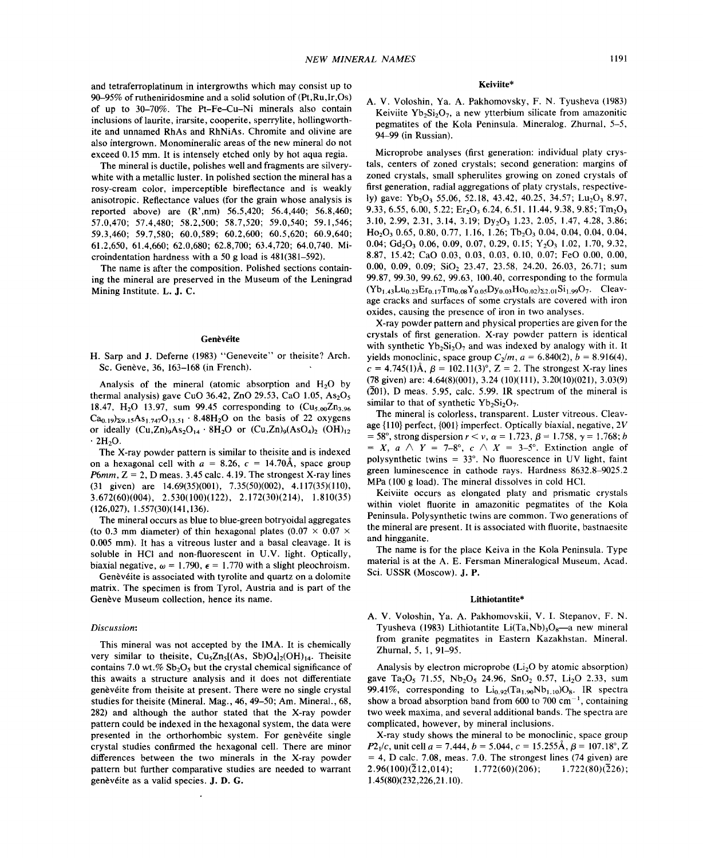and tetraferroplatinum in intergrowths which may consist up to 90--95% of rutheniridosmine and a solid solution of (Pt,Ru,Ir,Os) of up to 30-70%. The Pt-Fe-Cu-Ni minerals also contain inclusions of laurite, irarsite, cooperite, sperrylite, hollingworthite and unnamed RhAs and RhNiAs. Chromite and olivine are also intergrown. Monomineralic areas of the new mineral do not exceed 0.15 mm. It is intensely etched only by hot aqua regia.

The mineral is ductile, polishes well and fragments are silverywhite with a metallic luster. In polished section the mineral has a rosy-cream color, imperceptible bireflectance and is weakly anisotropic. Reflectance values (for the grain whose analysis is reported above) are (R',nm) 56.5,420; 56.4,440; 56.8,460; 57.0,470; 57.4,480; 58.2,500; 58.7,520; 59.0,540; 59.1,546; 59.3,460; 59.7,580; 60.0,589; 60.2,600; 60.5,620; 60.9,640; 61.2,650, 61.4,660; 62.0,680; 62.8,700; 63.4,720; 64.0,740. Microindentation hardness with a 50 g load is 481(381-592).

The name is after the composition. Polished sections containing the mineral are preserved in the Museum of the Leningrad Mining Institute. L. J. C.

#### Genèvéite

H. Sarp and J. Deferne (1983) "Geneveite" or theisite? Arch. Sc. Genève, 36, 163-168 (in French).

Analysis of the mineral (atomic absorption and  $H<sub>2</sub>O$  by thermal analysis) gave CuO 36.42, ZnO 29.53, CaO  $1.05$ , As<sub>2</sub>O<sub>5</sub> 18.47, H<sub>2</sub>O 13.97, sum 99.45 corresponding to  $(Cu_{5.00}Zn_{3.96})$  $Ca_{0.19}$ <sub>29.15</sub>As<sub>1.747</sub>O<sub>13.51</sub>  $\cdot$  8.48H<sub>2</sub>O on the basis of 22 oxygens or ideally  $(Cu, Zn)_{9}As_{2}O_{14} \cdot 8H_{2}O$  or  $(Cu, Zn)_{9}(AsO_{4})_{2}$   $(OH)_{12}$  $\cdot$  2H<sub>2</sub>O.

The X-ray powder pattern is similar to theisite and is indexed on a hexagonal cell with  $a = 8.26$ ,  $c = 14.70$ Å, space group *P6mm,* Z = 2, D meas. 3.45 calc. 4.19. The strongest X-ray lines (31 given) are 14.69(35)(001), 7.35(50)(002), 4.117(35)(110), 3.672(60)(004), 2.530(100)(122), 2.172(30)(214), 1.810(35) (126,027), 1.557(30)(141,136).

The mineral occurs as blue to blue-green botryoidal aggregates (to 0.3 mm diameter) of thin hexagonal plates (0.07  $\times$  0.07  $\times$ 0.005 mm). It has a vitreous luster and a basal cleavage. It is soluble in HCl and non-fluorescent in U.V. light. Optically, biaxial negative,  $\omega = 1.790$ ,  $\epsilon = 1.770$  with a slight pleochroisn

Genèvéite is associated with tyrolite and quartz on a dolomite matrix. The specimen is from Tyrol, Austria and is part of the Genève Museum collection, hence its name.

## *Discussion:*

This mineral was not accepted by the IMA. It is chemically very similar to theisite,  $Cu<sub>5</sub>Zn<sub>5</sub>[(As, Sb)O<sub>4</sub>]<sub>2</sub>(OH)<sub>14</sub>$ . Theisite contains 7.0 wt.%  $Sb_2O_5$  but the crystal chemical significance of this awaits a structure analysis and it does not differentiate genèvéite from theisite at present. There were no single crystal studies for theisite (Mineral. Mag., 46, 49-50; Am. Mineral., 68, 282) and although the author stated that the X-ray powder pattern could be indexed in the hexagonal system, the data were presented in the orthorhombic system. For genèveite single crystal studies confirmed the hexagonal cell. There are minor differences between the two minerals in the X-ray powder pattern but further comparative studies are needed to warrant genèvéite as a valid species. J. D. G.

#### Keiviite\*

A. V. Voloshin, Ya. A. Pakhomovsky, F. N. Tyusheva (1983) Keiviite  $Yb_2Si_2O_7$ , a new ytterbium silicate from amazonitic pegmatites of the Kola Peninsula. Mineralog. Zhurnal, 5-5, 94-99 (in Russian).

Microprobe analyses (first generation: individual platy crystals, centers of zoned crystals; second generation: margins of zoned crystals, small spherulites growing on zoned crystals of first generation, radial aggregations of platy crystals, respectively) gave: Yb<sub>2</sub>O<sub>3</sub> 55.06, 52.18, 43.42, 40.25, 34.57; Lu<sub>2</sub>O<sub>3</sub> 8.97, 9.33, 6.55, 6.00, 5.22; Er<sub>2</sub>O<sub>3</sub> 6.24, 6.51, 11.44, 9.38, 9.85; Tm<sub>2</sub>O<sub>3</sub> 3.10, 2.99, 2.31, 3.14, 3.19; Dy<sub>2</sub>O<sub>3</sub> 1.23, 2.05, 1.47, 4.28, 3.86;  $H_0$ ,  $O_3$  0.65, 0.80, 0.77, 1.16, 1.26; Tb<sub>2</sub>O<sub>3</sub> 0.04, 0.04, 0.04, 0.04, 0.04; Gd<sub>2</sub>O<sub>3</sub> 0.06, 0.09, 0.07, 0.29, 0.15;  $Y_2O_3$  1.02, 1.70, 9.32, 8.87, 15.42; CaO 0.03, 0.03, 0.03, 0.10, 0.07; FeO 0.00, 0.00, 0.00, 0.09, 0.09; SiO<sub>2</sub> 23.47, 23.58, 24.20, 26.03, 26.71; sum 99.87,99.30,99.62,99.63, 100.40, corresponding to the formula  $(Yb_{1.43}Lu_{0.23}Er_{0.17}Tm_{0.08}Y_{0.05}Dv_{0.03}Ho_{0.02}x_{2.01}Si_{1.99}O_7$ . Cleavage cracks and surfaces of some crystals are covered with iron oxides, causing the presence of iron in two analyses.

X-ray powder pattern and physical properties are given for the crystals of first generation. X-ray powder pattern is identical with synthetic  $Yb_2Si_2O_7$  and was indexed by analogy with it. It yields monoclinic, space group  $C_2/m$ ,  $a = 6.840(2)$ ,  $b = 8.916(4)$  $c = 4.745(1)$ Å,  $\beta = 102.11(3)$ °,  $Z = 2$ . The strongest X-ray lines (78 given) are: 4.64(8)(001), 3.24 (10)(111), 3.20(10)(021), 3.03(9)  $(201)$ , D meas, 5.95, calc. 5.99. IR spectrum of the mineral is similar to that of synthetic  $Yb_2Si_2O_7$ .

The mineral is colorless, transparent. Luster vitreous. Cleavage {IIO} perfect, {001}imperfect. Optically biaxial, negative, *2V*  $= 58^{\circ}$ , strong dispersion  $r < v$ ,  $\alpha = 1.723$ ,  $\beta = 1.758$ ,  $\gamma = 1.768$ ; *b*  $= X$ ,  $a \wedge Y = 7-8^{\circ}$ ,  $c \wedge X = 3-5^{\circ}$ . Extinction angle of poly synthetic twins  $= 33^{\circ}$ . No fluorescence in UV light, faint green luminescence in cathode rays. Hardness 8632.8-9025.2 MPa (100 g load). The mineral dissolves in cold HCI.

Keiviite occurs as elongated platy and prismatic crystals within violet fluorite in amazonitic pegmatites of the Kola Peninsula. Poly synthetic twins are common. Two generations of the mineral are present. It is associated with fluorite, bastnaesite and hingganite.

The name is for the place Keiva in the Kola Peninsula. Type material is at the A. E. Fersman Mineralogical Museum, Acad. Sci. USSR (Moscow). J. P.

#### Lithiotantite\*

A. V. Voloshin, Ya. A. Pakhomovskii, V. 1. Stepanov, F. N. Tyusheva (1983) Lithiotantite Li(Ta,Nb)<sub>3</sub>O<sub>8</sub>—a new mineral from granite pegmatites in Eastern Kazakhstan. Mineral. Zhurnal, 5, 1, 91-95.

Analysis by electron microprobe  $(Li<sub>2</sub>O$  by atomic absorption) gave Ta<sub>2</sub>O<sub>5</sub> 71.55, Nb<sub>2</sub>O<sub>5</sub> 24.96, SnO<sub>2</sub> 0.57, Li<sub>2</sub>O 2.33, sum 99.41%, corresponding to  $\text{Li}_{0.92}(\text{Ta}_{1.90}\text{Nb}_{1.10})\text{O}_8$ . IR spectra show a broad absorption band from 600 to 700 cm<sup> $-1$ </sup>, containing two week maxima, and several additional bands. The spectra are complicated, however, by mineral inclusions.

X-ray study shows the mineral to be monoclinic, space group *P* $2_1/c$ , unit cell *a* = 7.444, *b* = 5.044, *c* = 15.255Å,  $\beta$  = 107.18°, Z  $= 4$ , D calc. 7.08, meas. 7.0. The strongest lines (74 given) are 2.96(100)( $\overline{2}12,014$ ); 1.772(60)(206); 1.722(80)( $\overline{2}26$ ); 1.45(80)(232,226,21.10).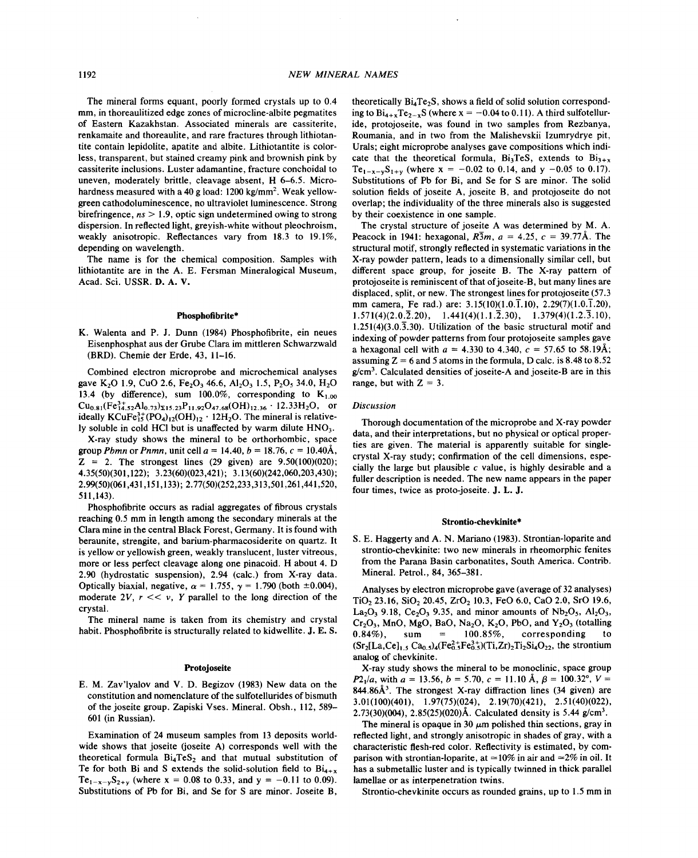The mineral forms equant, poorly formed crystals up to 0.4 mm, in thoreaulitized edge zones of microcline-albite pegmatites of Eastern Kazakhstan. Associated minerals are cassiterite, renkamaite and thoreaulite, and rare fractures through lithiotantite contain lepidolite, apatite and albite. Lithiotantite is colorless, transparent, but stained creamy pink and brownish pink by cassiterite inclusions. Luster adamantine, fracture conchoidal to uneven, moderately brittle, cleavage absent, H 6-6.5. Microhardness measured with a 40 g load:  $1200 \text{ kg/mm}^2$ . Weak yellowgreen cathodoluminescence, no ultraviolet luminescence. Strong birefringence, *ns* > 1.9, optic sign undetermined owing to strong dispersion. In reflected light, greyish-white without pleochroism, weakly anisotropic. Reflectances vary from 18.3 to 19.1%, depending on wavelength.

The name is for the chemical composition. Samples with lithiotantite are in the A. E. Fersman Mineralogical Museum, Acad. Sci. USSR. D. A. V.

# Phosphofibrite\*

K. Walenta and P. J. Dunn (1984) Phosphofibrite, ein neues Eisenphosphat aus der Grube Clara im mittleren Schwarzwald (BRD). Chemie der Erde, 43, 11-16.

Combined electron microprobe and microchemical analyses gave K<sub>2</sub>O 1.9, CuO 2.6, Fe<sub>2</sub>O<sub>3</sub> 46.6, Al<sub>2</sub>O<sub>3</sub> 1.5, P<sub>2</sub>O<sub>5</sub> 34.0, H<sub>2</sub>O 13.4 (by difference), sum 100.0%, corresponding to  $K_{1.00}$  $Cu_{0.81}(Fe_{14.52}^{3+}Al_{0.73})_{\Sigma 15.23}P_{11.92}O_{47.68}(OH)_{12.36} \cdot 12.33H_2O$ , or ideally  $KCuFe<sub>15</sub><sup>3+</sup>(PO<sub>4</sub>)<sub>12</sub>(OH)<sub>12</sub> · 12H<sub>2</sub>O. The mineral is relative$ ly soluble in cold HCl but is unaffected by warm dilute HNO<sub>3</sub>.

X-ray study shows the mineral to be orthorhombic, space group *Pbmn* or *Pnmn*, unit cell  $a = 14.40, b = 18.76, c = 10.40\text{\AA}$ ,  $Z = 2$ . The strongest lines (29 given) are 9.50(100)(020); 4.35(50)(301,122); 3.23(60)(023,421); 3.13(60)(242,060,203,430); 2.99(50)(061,431,151,133); 2.77(50)(252,233,313,501,261,441,520, 511,143).

Phosphofibrite occurs as radial aggregates of fibrous crystals reaching 0.5 mm in length among the secondary minerals at the Clara mine in the central Black Forest, Germany. It is found with beraunite, strengite, and barium-pharmacosiderite on quartz. It is yellow or yellowish green, weakly translucent, luster vitreous, more or less perfect cleavage along one pinacoid. H about 4. D 2.90 (hydrostatic suspension), 2.94 (calc.) from X-ray data. Optically biaxial, negative,  $\alpha = 1.755$ ,  $\gamma = 1.790$  (both  $\pm 0.004$ ), moderate 2V,  $r \ll v$ , Y parallel to the long direction of the crystal.

The mineral name is taken from its chemistry and crystal habit. Phosphofibrite is structurally related to kidwellite. J. E. S.

#### Protojoseite

E. M. Zav'lyalov and V. D. Begizov (1983) New data on the constitution and nomenclature of the sulfotellurides of bismuth of the joseite group. Zapiski Vses. Mineral. Obsh., 112, 589-601 (in Russian).

Examination of 24 museum samples from 13 deposits worldwide shows that joseite (joseite A) corresponds well with the theoretical formula  $Bi<sub>4</sub>TeS<sub>2</sub>$  and that mutual substitution of Te for both Bi and S extends the solid-solution field to  $Bi_{4+x}$ Te<sub>1-x-y</sub>S<sub>2+y</sub> (where  $x = 0.08$  to 0.33, and  $y = -0.11$  to 0.09) Substitutions of Pb for Bi, and Se for S are minor. Joseite B,

theoretically  $Bi_4Te_2S$ , shows a field of solid solution corresponding to  $Bi_{4+x}Te_{2-x}S$  (where  $x = -0.04$  to 0.11). A third sulfotelluride, protojoseite, was found in two samples from Rezbanya, Roumania, and in two from the Malishevskii Izumrydrye pit, Urals; eight microprobe analyses gave compositions which indicate that the theoretical formula,  $Bi_3TeS$ , extends to  $Bi_{3+x}$ Te<sub>1-x-y</sub>S<sub>1+y</sub> (where x = -0.02 to 0.14, and y -0.05 to 0.17). Substitutions of Pb for Bi, and Se for S are minor. The solid solution fields of joseite A, joseite B, and protojoseite do not overlap; the individuality of the three minerals also is suggested by their coexistence in one sample.

The crystal structure of joseite A was determined by M. A. Peacock in 1941: hexagonal,  $R\bar{3}m$ ,  $a = 4.25$ ,  $c = 39.77$ Å. The structural motif, strongly reflected in systematic variations in the X-ray powder pattern, leads to a dimensionally similar cell, but different space group, for joseite B. The X-ray pattern of protojoseite is reminiscent of that of joseite-B, but many lines are displaced, split, or new. The strongest lines for protojoseite (57.3 mm camera, Fe rad.) are: 3.15(10)(1.0.1.10), 2.29(7)(1.0.1.20), 1.571(4)(2.0.2.20), 1.441(4)(1.1.2.30), 1.379(4)(1.2.3.10), 1.251(4)(3.0.3.30). Utilization of the basic structural motif and indexing of powder patterns from four protojoseite samples gave a hexagonal cell with  $a = 4.330$  to 4.340,  $c = 57.65$  to 58.19 $\lambda$ assuming  $Z = 6$  and 5 atoms in the formula, D calc. is 8.48 to 8.52  $g/cm<sup>3</sup>$ . Calculated densities of joseite-A and joseite-B are in this range, but with  $Z = 3$ .

## *Discussion*

Thorough documentation of the microprobe and X-ray powder data, and their interpretations, but no physical or optical properties are given. The material is apparently suitable for singlecrystal X-ray study; confirmation of the cell dimensions, especially the large but plausible  $c$  value, is highly desirable and a fuller description is needed. The new name appears in the paper four times, twice as proto-joseite. J. L. J.

### Strontio-chevkinite\*

S. E. Haggerty and A. N. Mariano (1983). Strontian-Ioparite and strontio-chevkinite: two new minerals in rheomorphic fenites from the Parana Basin carbonatites, South America. Contrib. Mineral. Petrol., 84, 365-381.

Analyses by electron microprobe gave (average of 32 analyses) TiO<sub>2</sub> 23.16, SiO<sub>2</sub> 20.45, ZrO<sub>2</sub> 10.3, FeO 6.0, CaO 2.0, SrO 19.6,  $La_2O_3$  9.18,  $Ce_2O_3$  9.35, and minor amounts of  $Nb_2O_5$ ,  $Al_2O_3$ ,  $Cr_2O_3$ , MnO, MgO, BaO, Na<sub>2</sub>O, K<sub>2</sub>O, PbO, and Y<sub>2</sub>O<sub>3</sub> (totalling 0.84%), sum = 100.85%, corresponding to corresponding  $(Sr_2[La, Ce]_{1.5} Ca_{0.5})_4(Fe^{2+}_{0.5}Fe^{3+}_{0.5})(Ti, Zr)_2Ti_2Si_4O_{22}$ , the strontium analog of chevkinite.

X-ray study shows the mineral to be monoclinic, space group *P*2<sub>1</sub>/*a*, with *a* = 13.56, *b* = 5.70, *c* = 11.10 A,  $\beta$  = 100.32°, *V* = 844.86 $A<sup>3</sup>$ . The strongest X-ray diffraction lines (34 given) are 3.01(100)(401), 1.97(75)(024), 2.19(70)(421), 2.51(40)(022), 2.73(30)(004), 2.85(25)(020)Å. Calculated density is 5.44  $g/cm<sup>3</sup>$ .

The mineral is opaque in 30  $\mu$ m polished thin sections, gray in reflected light, and strongly anisotropic in shades of gray, with a characteristic flesh-red color. Reflectivity is estimated, by comparison with strontian-loparite, at  $\simeq$ 10% in air and  $\simeq$ 2% in oil. It has a submetalIic luster and is typically twinned in thick parallel lamellae or as interpenetration twins.

Strontio-chevkinite occurs as rounded grains, up to 1.5 mm in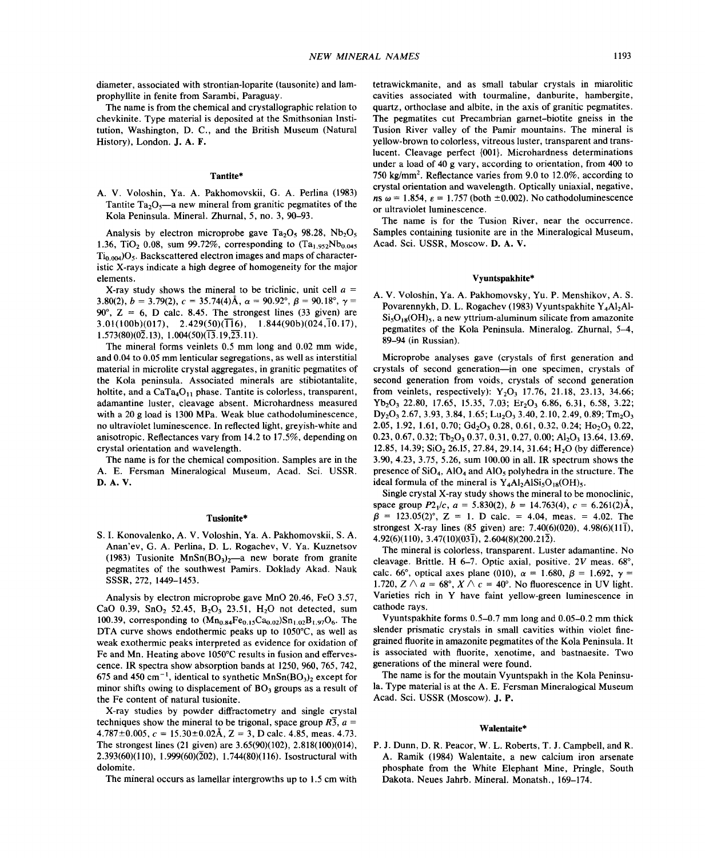diameter, associated with strontian-Ioparite (tausonite) and lamprophyllite in fenite from Sarambi, Paraguay.

The name is from the chemical and crystallographic relation to chevkinite. Type material is deposited at the Smithsonian Institution, Washington, D. C., and the British Museum (Natural History), London. J. A. F.

# Tantite\*

A. V. Voloshin, Ya. A. Pakhomovskii, G. A. Perlina (1983) Tantite  $Ta_2O_5$ —a new mineral from granitic pegmatites of the Kola Peninsula. Mineral. Zhumal, 5, no. 3,90-93.

Analysis by electron microprobe gave Ta<sub>2</sub>O<sub>5</sub> 98.28, Nb<sub>2</sub>O<sub>5</sub> 1.36, TiO<sub>2</sub> 0.08, sum 99.72%, corresponding to  $(Ta_{1.952}Nb_{0.045})$  $Ti_{0.004}$ ) $O_5$ . Backscattered electron images and maps of characteristic X-rays indicate a high degree of homogeneity for the major elements.

X-ray study shows the mineral to be triclinic, unit cell *a =* 3.80(2),  $b = 3.79(2)$ ,  $c = 35.74(4)$ Å,  $\alpha = 90.92^{\circ}$ ,  $\beta = 90.18^{\circ}$ ,  $\gamma =$  $90^\circ$ ,  $Z = 6$ , D calc. 8.45. The strongest lines (33 given) are  $3.01(100b)(017)$ ,  $2.429(50)(\overline{11}6)$ ,  $1.844(90b)(024,\overline{1}0.17)$ ,  $1.573(80)(0\overline{2}.13), 1.004(50)(\overline{13}.19,\overline{23}.11).$ 

The mineral forms veinlets 0.5 mm long and 0.02 mm wide, and 0.04 to 0.05 mm lenticular segregations, as well as interstitial material in microlite crystal aggregates, in granitic pegmatites of the Kola peninsula. Associated minerals are stibiotantalite, holtite, and a  $CaTa_4O_{11}$  phase. Tantite is colorless, transparent, adamantine luster, cleavage absent. Microhardness measured with a 20 g load is 1300 MPa. Weak blue cathodoluminescence, no ultraviolet luminescence. In reflected light, greyish-white and anisotropic. Reflectances vary from 14.2 to 17.5%, depending on crystal orientation and wavelength.

The name is for the chemical composition. Samples are in the A. E. Fersman Mineralogical Museum, Acad. Sci. USSR. D.A. V.

## Tusionite\*

S.1. Konovalenko, A. V. Voloshin, Ya. A. Pakhomovskii, S. A. Anan'ev, G. A. Perlina, D. L. Rogachev, V. Ya. Kuznetsov (1983) Tusionite  $MnSn(BO_3)<sub>2</sub>$  new borate from granite pegmatites of the southwest Pamirs. Doklady Akad. Nauk SSSR, 272, 1449-1453.

Analysis by electron microprobe gave MnO 20.46, FeO 3.57, CaO 0.39, SnO<sub>2</sub> 52.45, B<sub>2</sub>O<sub>3</sub> 23.51, H<sub>2</sub>O not detected, sum 100.39, corresponding to  $(Mn_{0.84}Fe_{0.15}Ca_{0.02})Sn_{1.02}B_{1.97}O_6$ . The DTA curve shows endothermic peaks up to 1050°C, as well as weak exothermic peaks interpreted as evidence for oxidation of Fe and Mn. Heating above 1050°C results in fusion and effervescence. IR spectra show absorption bands at 1250, 960, 765, 742, 675 and 450 cm<sup>-1</sup>, identical to synthetic MnSn(BO<sub>3</sub>)<sub>2</sub> except for minor shifts owing to displacement of  $BO<sub>3</sub>$  groups as a result of the Fe content of natural tusionite.

X-ray studies by powder diffractometry and single crystal techniques show the mineral to be trigonal, space group  $R\overline{3}$ ,  $a =$  $4.787 \pm 0.005$ ,  $c = 15.30 \pm 0.02$ Å,  $Z = 3$ , D calc. 4.85, meas. 4.73. The strongest lines (21 given) are 3.65(90)(102), 2.818(100)(014), 2.393(60)(110), 1.999(60)( $\overline{2}02$ ), 1.744(80)(116). Isostructural with dolomite.

The mineral occurs as lamellar intergrowths up to 1.5 cm with

tetrawickmanite, and as small tabular crystals in miarolitic cavities associated with tourmaline, danburite, hambergite, quartz, orthoclase and albite, in the axis of granitic pegmatites. The pegmatites cut Precambrian garnet-biotite gneiss in the Tusion River valley of the Pamir mountains. The mineral is yellow-brown to colorless, vitreous luster, transparent and translucent. Cleavage perfect {001}. Microhardness determinations under a load of 40 g vary, according to orientation, from 400 to 750 kg/mm2. Reflectance varies from 9.0 to 12.0%, according to crystal orientation and wavelength. Optically uniaxial, negative, *ns*  $\omega = 1.854$ ,  $\epsilon = 1.757$  (both  $\pm 0.002$ ). No cathodoluminescence or ultraviolet luminescence.

The name is for the Tusion River, near the occurrence. Samples containing tusionite are in the Mineralogical Museum, Acad. Sci. USSR, Moscow. D. A. V.

## Vyuntspakhite\*

A. V. Voloshin, Ya. A. Pakhomovsky, Yu. P. Menshikov, A. S. Povarennykh, D. L. Rogachev (1983) Vyuntspakhite Y<sub>4</sub>Al<sub>2</sub>Al- $Si<sub>5</sub>O<sub>18</sub>(OH)<sub>5</sub>$ , a new yttrium-aluminum silicate from amazonite pegmatites of the Kola Peninsula. Mineralog. Zhurnal, 5-4, 89-94 (in Russian).

Microprobe analyses gave (crystals of first generation and crystals of second generation-in one specimen, crystals of second generation from voids, crystals of second generation from veinlets, respectively):  $Y_2O_3$  17.76, 21.18, 23.13, 34.66;  $Yb<sub>2</sub>O<sub>3</sub>$  22.80, 17.65, 15.35, 7.03; Er<sub>2</sub>O<sub>3</sub> 6.86, 6.31, 6.58, 3.22;  $Dy_2O_3$  2.67, 3.93, 3.84, 1.65; Lu<sub>2</sub>O<sub>3</sub> 3.40, 2.10, 2.49, 0.89; Tm<sub>2</sub>O<sub>3</sub> 2.05, 1.92, 1.61, 0.70;  $Gd_2O_3$  0.28, 0.61, 0.32, 0.24;  $Ho_2O_3$  0.22, 0.23, 0.67, 0.32; Tb<sub>2</sub>O<sub>3</sub> 0.37, 0.31, 0.27, 0.00; Al<sub>2</sub>O<sub>3</sub> 13.64, 13.69, 12.85, 14.39; SiO<sub>2</sub> 26.15, 27.84, 29.14, 31.64; H<sub>2</sub>O (by difference) 3.90,4.23, 3.75, 5.26, sum 100.00 in all. IR spectrum shows the presence of  $SiO<sub>4</sub>$ , AlO<sub>4</sub> and AlO<sub>5</sub> polyhedra in the structure. The ideal formula of the mineral is  $Y_4Al_2AlSi_5O_{18}(OH)_5$ .

Single crystal X-ray study shows the mineral to be monoclinic, space group  $P2_1/c$ ,  $a = 5.830(2)$ ,  $b = 14.763(4)$ ,  $c = 6.261(2)$ Å  $\beta = 123.05(2)$ °, Z = 1. D calc. = 4.04, meas. = 4.02. The strongest X-ray lines (85 given) are: 7.40(6)(020), 4.98(6)(111), 4.92(6)(110), 3.47(10)(031), 2.604(8)(200.212).

The mineral is colorless, transparent. Luster adamantine. No cleavage. Brittle. H 6-7. Optic axial, positive. *2V* meas. 68°, calc. 66°, optical axes plane (010),  $\alpha = 1.680, \beta = 1.692, \gamma =$ 1.720,  $Z \wedge a = 68^\circ$ ,  $X \wedge c = 40^\circ$ . No fluorescence in UV light. Varieties rich in Y have faint yellow-green luminescence in cathode rays.

Vyuntspakhite forms 0.5-0.7 mm long and 0.05-0.2 mm thick slender prismatic crystals in small cavities within violet finegrained fluorite in amazonite pegmatites of the Kola Peninsula. It is associated with fluorite, xenotime, and bastnaesite. Two generations of the mineral were found.

The name is for the moutain Vyuntspakh in the Kola Peninsula. Type material is at the A. E. Fersman Mineralogical Museum Acad. Sci. USSR (Moscow). J. P.

#### Walentaite\*

P. J. Dunn, D. R. Peacor, W. L. Roberts, T. J. Campbell, and R. A. Ramik (1984) Walentaite, a new calcium iron arsenate phosphate from the White Elephant Mine, Pringle, South Dakota. Neues Jahrb. Mineral. Monatsh., 169-174.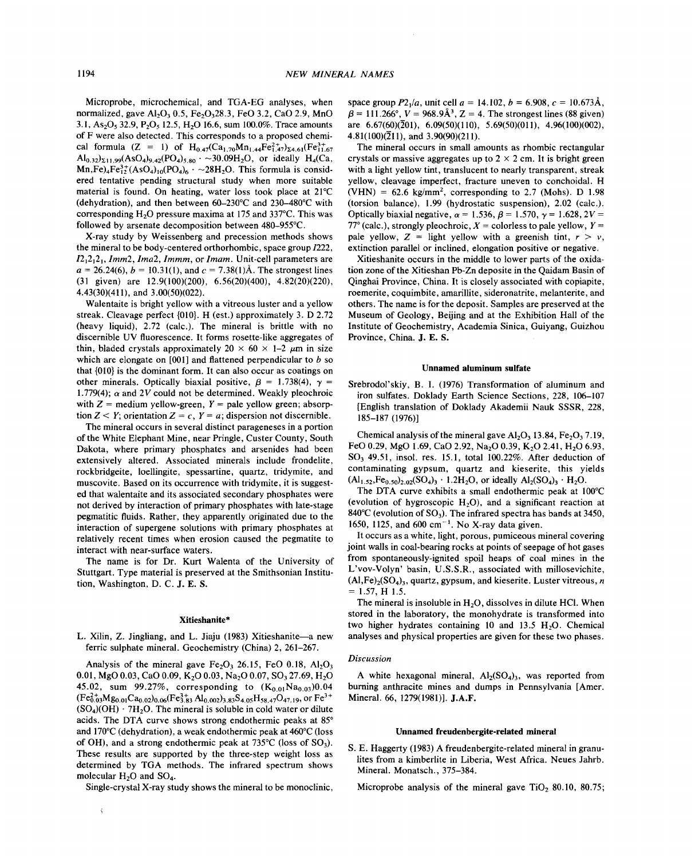Microprobe, microchemical, and TGA-EG analyses, when normalized, gave  $Al_2O_3$  0.5,  $Fe_2O_328.3$ ,  $FeO$  3.2, CaO 2.9, MnO 3.1, As<sub>2</sub>O<sub>5</sub> 32.9, P<sub>2</sub>O<sub>5</sub> 12.5, H<sub>2</sub>O 16.6, sum 100.0%. Trace amounts of F were also detected. This corresponds to a proposed chemical formula (Z = 1) of  $H_{0.47}(Ca_{1.70}Mn_{1.44}Fe_{1.47}^{2+})_{\Sigma 4.61}(Fe_{11.67}^{3+})$  $\text{Al}_{0.32}$ <sub>211.99</sub>(AsO<sub>4</sub>)<sub>9.42</sub>(PO<sub>4</sub>)<sub>5.80</sub>  $\sim$  30.09H<sub>2</sub>O, or ideally H<sub>4</sub>(C  $\text{Mn,Fe)}_{4}$ Fe<sub>17</sub><sup>3+</sup>(AsO<sub>4</sub>)<sub>10</sub>(PO<sub>4</sub>)<sub>6</sub>  $\sim$  -28H<sub>2</sub>O. This formula is considered tentative pending structural study when more suitable material is found. On heating, water loss took place at 21°C (dehydration), and then between 60-230°C and 230-480°C with corresponding  $H<sub>2</sub>O$  pressure maxima at 175 and 337 $^{\circ}$ C. This was followed by arsenate decomposition between 480-955°C.

X-ray study by Weissenberg and precession methods shows the mineral to be body-centered orthorhombic, space group 1222, *12121210Imm2, Ima2, Immm,* or *Imam.* Unit-cell parameters are  $a = 26.24(6), b = 10.31(1),$  and  $c = 7.38(1)$ Å. The strongest lines (31 given) are 12.9(100)(200), 6.56(20)(400), 4.82(20)(220), 4.43(30)(411), and 3.00(50)(022).

Walentaite is bright yellow with a vitreous luster and a yellow streak. Cleavage perfect {010}. H (est.) approximately 3. D 2.72 (heavy liquid), 2.72 (calc.). The mineral is brittle with no discernible UV fluorescence. It forms rosette-like aggregates of thin, bladed crystals approximately  $20 \times 60 \times 1$ –2  $\mu$ m in size which are elongate on [001] and flattened perpendicular to *b* so that  $\{010\}$  is the dominant form. It can also occur as coatings on other minerals. Optically biaxial positive,  $\beta = 1.738(4)$ ,  $\gamma =$ 1.779(4);  $\alpha$  and 2V could not be determined. Weakly pleochroic with  $Z =$  medium yellow-green,  $Y =$  pale yellow green; absorp tion  $Z \leq Y$ ; orientation  $Z = c$ ,  $Y = a$ ; dispersion not discernible.

The mineral occurs in several distinct parageneses in a portion of the White Elephant Mine, near Pringle, Custer County, South Dakota, where primary phosphates and arsenides had been extensively altered. Associated minerals include frondelite, rockbridgeite, 10eIlingite, spessartine, quartz, tridymite, and muscovite. Based on its occurrence with tridymite, it is suggested that walentaite and its associated secondary phosphates were not derived by interaction of primary phosphates with late-stage pegmatitic fluids. Rather, they apparently originated due to the interaction of supergene solutions with primary phosphates at relatively recent times when erosion caused the pegmatite to interact with near-surface waters.

The name is for Dr. Kurt Walenta of the University of Stuttgart. Type material is preserved at the Smithsonian Institution, Washington, D. C. J. E. S.

#### Xitieshanite\*

L. Xilin, Z. Jingliang, and L. Jiaju (1983) Xitieshanite-a new ferric sulphate mineral. Geochemistry (China) 2, 261-267.

Analysis of the mineral gave  $Fe<sub>2</sub>O<sub>3</sub>$  26.15, FeO 0.18, Al<sub>2</sub>O<sub>3</sub> 0.01, MgO 0.03, CaO 0.09, K<sub>2</sub>O 0.03, Na<sub>2</sub>O 0.07, SO<sub>3</sub> 27.69, H<sub>2</sub>O 45.02, sum 99.27%, corresponding to  $(K_{0.01}Na_{0.03})0.04$  $(Fe_{0.03}^{2+}Mg_{0.01}Ca_{0.02})_{0.06}(Fe_{3.83}^{3+}Al_{0.002})_{3.83}S_{4.05}H_{58.47}O_{47.19}$ , or  $Fe^{3+}$  $(SO<sub>4</sub>)(OH) \cdot 7H<sub>2</sub>O$ . The mineral is soluble in cold water or dilute acids. The DTA curve shows strong endothermic peaks at 85° and 170°C (dehydration), a weak endothermic peak at 460°C (loss of OH), and a strong endothermic peak at  $735^{\circ}$ C (loss of SO<sub>3</sub>). These results are supported by the three-step weight loss as determined by TGA methods. The infrared spectrum shows molecular  $H<sub>2</sub>O$  and  $SO<sub>4</sub>$ .

Single-crystal X-ray study shows the mineral to be monoclinic,

 $\overline{\mathbf{r}}$ 

space group  $P2_1/a$ , unit cell  $a = 14.102$ ,  $b = 6.908$ ,  $c = 10.673$ Å,  $\beta = 111.266^{\circ}, V = 968.9\text{\AA}^3, Z = 4.$  The strongest lines (88 given) are  $6.67(60)(\overline{2}01)$ ,  $6.09(50)(110)$ ,  $5.69(50)(011)$ ,  $4.96(100)(002)$ , 4.81(100)( $\overline{2}11$ ), and 3.90(90)(211).

The mineral occurs in small amounts as rhombic rectangular crystals or massive aggregates up to  $2 \times 2$  cm. It is bright green with a light yellow tint, translucent to nearly transparent, streak yellow, cleavage imperfect, fracture uneven to conchoidal. H  $(VHN) = 62.6 \text{ kg/mm}^2$ , corresponding to 2.7 (Mohs). D 1.98 (torsion balance), 1.99 (hydrostatic suspension), 2.02 (calc.). Optically biaxial negative,  $\alpha = 1.536$ ,  $\beta = 1.570$ ,  $\gamma = 1.628$ ,  $2V =$  $77^{\circ}$  (calc.), strongly pleochroic,  $X =$  colorless to pale yellow,  $Y =$ pale yellow,  $Z =$  light yellow with a greenish tint,  $r > v$ , extinction parallel or inclined, elongation positive or negative.

Xitieshanite occurs in the middle to lower parts of the oxidation zone of the Xitieshan Pb-Zn deposite in the Qaidam Basin of Qinghai Province, China. It is closely associated with copiapite, roemerite, coquimbite, amariIlite, sideronatrite, melanterite, and others. The name is for the deposit. Samples are preserved at the Museum of Geology, Beijing and at the Exhibition Hall of the Institute of Geochemistry, Academia Sinica, Guiyang, Guizhou Province, China. J. E. S.

#### Unnamed aluminum sulfate

Srebrodol'skiy, B. I. (1976) Transformation of aluminum and iron sulfates. Doklady Earth Science Sections, 228, 106-107 [English translation of Doklady Akademii Nauk SSSR, 228, 185-187 (1976)]

Chemical analysis of the mineral gave  $Al_2O_3$  13.84, Fe<sub>2</sub>O<sub>3</sub> 7.19, FeO 0.29, MgO 1.69, CaO 2.92, Na<sub>2</sub>O 0.39, K<sub>2</sub>O 2.41, H<sub>2</sub>O 6.93,  $SO<sub>3</sub>$  49.51, insol. res. 15.1, total 100.22%. After deduction of contaminating gypsum, quartz and kieserite, this yields  $(Al_{1.52},Fe_{0.50})_{2.02} (SO_4)_3 \cdot 1.2 H_2 O$ , or ideally  $Al_2(SO_4)_3 \cdot H_2 O$ .

The DTA curve exhibits a small endothermic peak at 100°C (evolution of hygroscopic  $H_2O$ ), and a significant reaction at 840 $^{\circ}$ C (evolution of SO<sub>3</sub>). The infrared spectra has bands at 3450, 1650, 1125, and 600 cm<sup>-1</sup>. No X-ray data given.

It occurs as a white, light, porous, pumiceous mineral covering joint walls in coal-bearing rocks at points of seepage of hot gases from spontaneously-ignited spoil heaps of coal mines in the L'vov-Volyn' basin, U.S.S.R., associated with millosevichite,  $(AI,Fe)<sub>2</sub>(SO<sub>4</sub>)<sub>3</sub>$ , quartz, gypsum, and kieserite. Luster vitreous, *n*  $= 1.57, H 1.5.$ 

The mineral is insoluble in  $H_2O$ , dissolves in dilute HCl. When stored in the laboratory, the monohydrate is transformed into two higher hydrates containing 10 and 13.5  $H<sub>2</sub>O$ . Chemical analyses and physical properties are given for these two phases.

## *Discussion*

A white hexagonal mineral,  $Al_2(SO_4)$ , was reported from burning anthracite mines and dumps in Pennsylvania [Amer. Mineral. 66, 1279(1981)]. J.A.F.

## Unnamed freudenbergite-related mineral

S. E. Haggerty (1983) A freudenbergite-related mineral in granulites from a kimberlite in Liberia, West Africa. Neues Jahrb. Mineral. Monatsch., 375-384.

Microprobe analysis of the mineral gave  $TiO<sub>2</sub> 80.10$ ,  $80.75$ ;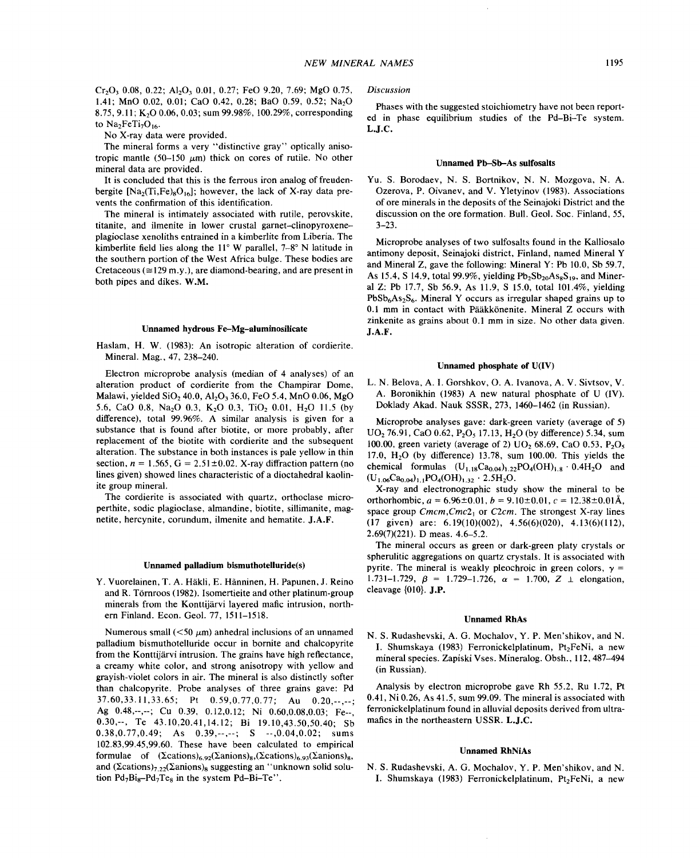No X-ray data were provided.

The mineral forms a very "distinctive gray" optically anisotropic mantle  $(50-150 \mu m)$  thick on cores of rutile. No other mineral data are provided.

It is concluded that this is the ferrous iron analog of freudenbergite  $[Na_2(T_i,Fe)_8O_{16}]$ ; however, the lack of X-ray data prevents the confirmation of this identification.

The mineral is intimately associated with rutile, perovskite, titanite, and ilmenite in lower crustal garnet-clinopyroxeneplagioclase xenoliths entrained in a kimberlite from Liberia. The kimberlite field lies along the  $11^{\circ}$  W parallel,  $7-8^{\circ}$  N latitude in the southern portion of the West Africa bulge. These bodies are Cretaceous ( $\approx$ 129 m.y.), are diamond-bearing, and are present in both pipes and dikes. W.M.

## Unnamed hydrous Fe-Mg-aluminosilicate

Haslam, H. W. (1983): An isotropic alteration of cordierite. Mineral. Mag., 47, 238-240.

Electron microprobe analysis (median of 4 analyses) of an alteration product of cordierite from the Champirar Dome, Malawi, yielded  $SiO<sub>2</sub> 40.0$ ,  $Al<sub>2</sub>O<sub>3</sub> 36.0$ , FeO 5.4, MnO 0.06, MgO 5.6, CaO 0.8, Na<sub>2</sub>O 0.3, K<sub>2</sub>O 0.3, TiO<sub>2</sub> 0.01, H<sub>2</sub>O 11.5 (by difference), total 99.96%. A similar analysis is given for a substance that is found after biotite, or more probably, after replacement of the biotite with cordierite and the subsequent alteration. The substance in both instances is pale yellow in thin section,  $n = 1.565$ ,  $G = 2.51 \pm 0.02$ . X-ray diffraction pattern (no lines given) showed lines characteristic of a dioctahedral kaolinite group mineral.

The cordierite is associated with quartz, orthoclase microperthite, sodic plagioclase, almandine, biotite, sillimanite, magnetite, hercynite, corundum, ilmenite and hematite. J.A.F.

#### Unnamed palladium bismuthotelluride(s)

Y. Vuorelainen, T. A. Hakli, E. Hanninen, H. Papunen, J. Reino and R. Törnroos (1982). Isomertieite and other platinum-group minerals from the Konttijarvi layered mafic intrusion, northern Finland. Econ. Geol. 77, 1511-1518.

Numerous small  $(< 50 \mu m$ ) anhedral inclusions of an unnamed palladium bismuthotelluride occur in bornite and chalcopyrite from the Konttijarvi intrusion. The grains have high reflectance, a creamy white color, and strong anisotropy with yellow and grayish-violet colors in air. The mineral is also distinctly softer than chalcopyrite. Probe analyses of three grains gave: Pd 37.60,33.11,33.65; Pt 0.59,0.77,0.77; Au 0.20,--,--; Ag 0.48,--,--; Cu 0.39, 0.12,0.12; Ni 0.60,0.08,0.03; Fe--, 0.30,--, Te 43.10,20.41,14.12; Bi 19.10,43.50,50.40; Sb  $0.38, 0.77, 0.49;$  As  $0.39, -,-;$  S  $-.0.04, 0.02;$  sums 102.83,99.45,99.60. These have been calculated to empirical formulae of  $({\Sigma cations})_{6.92}({\Sigma anions})_{8.}({\Sigma cations})_{6.93}({\Sigma anions})_{8.}$ and  $(\Sigma cations)_{7,22}(\Sigma anions)_{8}$  suggesting an "unknown solid solution  $Pd_7Bi_8-Pd_7Te_8$  in the system  $Pd-Bi-Te$ ".

# *Discussion*

Phases with the suggested stoichiometry have not been reported in phase equilibrium studies of the Pd-Bi-Te system. L.J.C.

#### Unnamed Pb-Sb-As sulfosalts

Yu. S. Borodaev, N. S. Bortnikov, N. N. Mozgova, N. A. Ozerova, P. Oivanev, and V. Yletyinov (1983). Associations of ore minerals in the deposits of the Seinajoki District and the discussion on the ore formation. Bull. Geol. Soc. Finland, 55, 3-23.

Microprobe analyses of two sulfosalts found in the Kalliosalo antimony deposit, Seinajoki district, Finland, named Mineral Y and Mineral Z, gave the following: Mineral Y: Pb 10.0, Sb 59.7, As 15.4, S 14.9, total 99.9%, yielding  $Pb_2Sb_{20}As_8S_{19}$ , and Minerai Z: Pb 17.7, Sb 56.9, As 11.9, S 15.0, total 101.4%, yielding  $PbSb<sub>6</sub>As<sub>2</sub>S<sub>6</sub>$ . Mineral Y occurs as irregular shaped grains up to 0.1 mm in contact with Paakk6nenite. Mineral Z occurs with zinkenite as grains about 0.1 mm in size. No other data given. J.A.F.

#### Unnamed phosphate of U(IV)

L. N. Belova, A. I. Gorshkov, O. A. Ivanova, A. V. Sivtsov, V. A. Boronikhin (1983) A new natural phosphate of U (IV). Doklady Akad. Nauk SSSR, 273, 1460-1462 (in Russian).

Microprobe analyses gave: dark-green variety (average of 5)  $UO<sub>2</sub>$  76.91, CaO 0.62, P<sub>2</sub>O<sub>5</sub> 17.13, H<sub>2</sub>O (by difference) 5.34, sum 100.00, green variety (average of 2)  $UO_2$  68.69, CaO 0.53, P<sub>2</sub>O<sub>5</sub> 17.0,  $H<sub>2</sub>O$  (by difference) 13.78, sum 100.00. This yields the chemical formulas  $(U_{1,18}Ca_{0.04})_{1,22}PO_4(OH)_{1,8} \cdot 0.4H_2O$  and  $(U_{1.06}Ca_{0.04})_{1.1}PO_4(OH)_{1.32} \cdot 2.5H_2O.$ 

X-ray and electronographic study show the mineral to be orthorhombic,  $a = 6.96 \pm 0.01$ ,  $b = 9.10 \pm 0.01$ ,  $c = 12.38 \pm 0.01$ space group *Cmcm,Cmc21* or *C2cm.* The strongest X-ray lines (17 given) are: 6.19(10)(002), 4.56(6)(020), 4.13(6)(112), 2.69(7)(221). D meas. 4.6-5.2.

The mineral occurs as green or dark-green platy crystals or spherulitic aggregations on quartz crystals. It is associated with pyrite. The mineral is weakly pleochroic in green colors,  $\gamma =$ 1.731-1.729,  $\beta = 1.729$ -1.726,  $\alpha = 1.700$ ,  $Z \perp$  elongation cleavage  $\{010\}$ . J.P.

#### Unnamed RhAs

N. S. Rudashevski, A. G. Mochalov, Y. P. Men'shikov, and N. I. Shumskaya (1983) Ferronickelplatinum, Pt<sub>2</sub>FeNi, a new mineral species. Zapiski Vses. Mineralog. Obsh., 112,487-494 (in Russian).

Analysis by electron microprobe gave Rh 55.2, Ru 1.72, Pt 0.41, Ni 0.26, As 41.5, sum 99.09. The mineral is associated with ferronickelplatinum found in alluvial deposits derived from ultramafics in the northeastern USSR. L.J.C.

#### Unnamed RhNiAs

N. S. Rudashevski, A. G. Mochalov, Y. P. Men'shikov, and N. I. Shumskaya (1983) Ferronickelplatinum, Pt<sub>2</sub>FeNi, a new